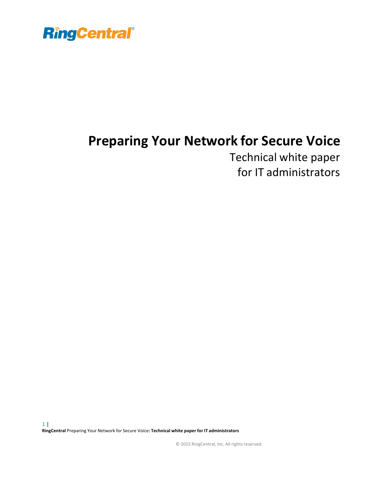

### **Preparing Your Network for Secure Voice**

Technical white paper for IT administrators

© 2015 RingCentral, Inc. All rights reserved.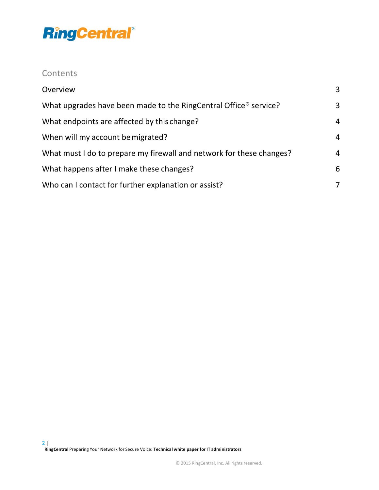### **Contents**

| Overview                                                                     | 3              |
|------------------------------------------------------------------------------|----------------|
| What upgrades have been made to the RingCentral Office <sup>®</sup> service? | 3              |
| What endpoints are affected by this change?                                  | $\overline{4}$ |
| When will my account be migrated?                                            | $\overline{4}$ |
| What must I do to prepare my firewall and network for these changes?         | $\overline{4}$ |
| What happens after I make these changes?                                     | 6              |
| Who can I contact for further explanation or assist?                         | 7              |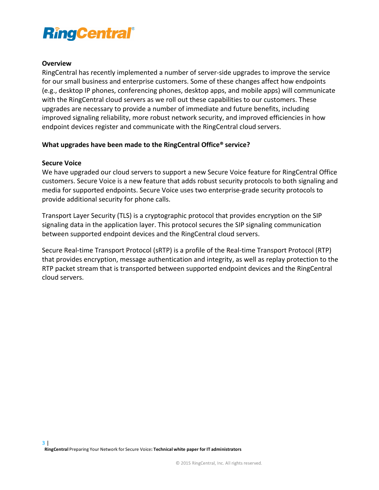#### **Overview**

RingCentral has recently implemented a number of server-side upgrades to improve the service for our small business and enterprise customers. Some of these changes affect how endpoints (e.g., desktop IP phones, conferencing phones, desktop apps, and mobile apps) will communicate with the RingCentral cloud servers as we roll out these capabilities to our customers. These upgrades are necessary to provide a number of immediate and future benefits, including improved signaling reliability, more robust network security, and improved efficiencies in how endpoint devices register and communicate with the RingCentral cloud servers.

#### **What upgrades have been made to the RingCentral Office<sup>®</sup> service?**

#### **Secure Voice**

We have upgraded our cloud servers to support a new Secure Voice feature for RingCentral Office customers. Secure Voice is a new feature that adds robust security protocols to both signaling and media for supported endpoints. Secure Voice uses two enterprise-grade security protocols to provide additional security for phone calls.

Transport Layer Security (TLS) is a cryptographic protocol that provides encryption on the SIP signaling data in the application layer. This protocol secures the SIP signaling communication between supported endpoint devices and the RingCentral cloud servers.

Secure Real-time Transport Protocol (sRTP) is a profile of the Real-time Transport Protocol (RTP) that provides encryption, message authentication and integrity, as well as replay protection to the RTP packet stream that is transported between supported endpoint devices and the RingCentral cloud servers.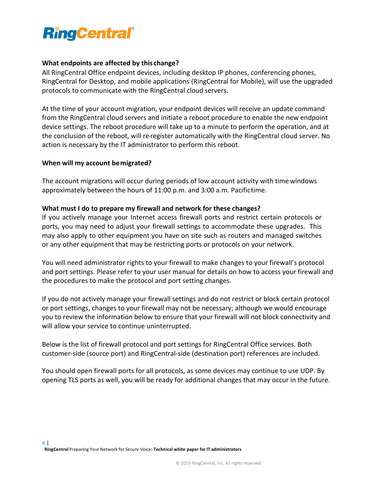

#### **What endpoints are affected by this change?**

All RingCentral Office endpoint devices, including desktop IP phones, conferencing phones, RingCentral for Desktop, and mobile applications (RingCentral for Mobile), will use the upgraded protocols to communicate with the RingCentral cloud servers.

At the time of your account migration, your endpoint devices will receive an update command from the RingCentral cloud servers and initiate a reboot procedure to enable the new endpoint device settings. The reboot procedure will take up to a minute to perform the operation, and at the conclusion of the reboot, will re-register automatically with the RingCentral cloud server. No action is necessary by the IT administrator to perform this reboot.

#### **When will my account be migrated?**

The account migrations will occur during periods of low account activity with time windows approximately between the hours of 11:00 p.m. and 3:00 a.m. Pacifictime.

#### **What must I do to prepare my firewall and network for these changes?**

If you actively manage your Internet access firewall ports and restrict certain protocols or ports, you may need to adjust your firewall settings to accommodate these upgrades. This may also apply to other equipment you have on site such as routers and managed switches or any other equipment that may be restricting ports or protocols on your network.

You will need administrator rights to your firewall to make changes to your firewall's protocol and port settings. Please refer to your user manual for details on how to access your firewall and the procedures to make the protocol and port setting changes.

If you do not actively manage your firewall settings and do not restrict or block certain protocol or port settings, changes to your firewall may not be necessary; although we would encourage you to review the information below to ensure that your firewall will not block connectivity and will allow your service to continue uninterrupted.

Below is the list of firewall protocol and port settings for RingCentral Office services. Both customer-side (source port) and RingCentral-side (destination port) references are included.

You should open firewall ports for all protocols, as some devices may continue to use UDP. By opening TLS ports as well, you will be ready for additional changes that may occur in the future.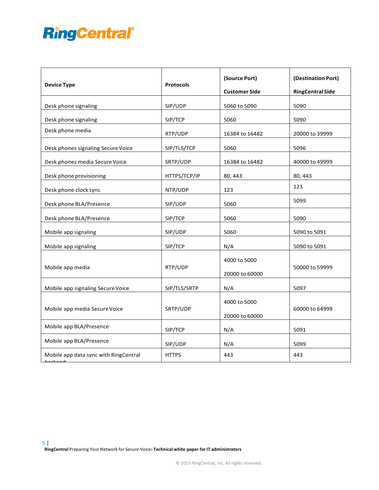| <b>Device Type</b>                    | <b>Protocols</b> | (Source Port)<br><b>Customer Side</b> | (Destination Port)<br><b>RingCentral Side</b> |
|---------------------------------------|------------------|---------------------------------------|-----------------------------------------------|
| Desk phone signaling                  | SIP/UDP          | 5060 to 5090                          | 5090                                          |
| Desk phone signaling                  | SIP/TCP          | 5060                                  | 5090                                          |
| Desk phone media                      | RTP/UDP          | 16384 to 16482                        | 20000 to 39999                                |
| Desk phones signaling Secure Voice    | SIP/TLS/TCP      | 5060                                  | 5096                                          |
| Desk phones media Secure Voice        | SRTP/UDP         | 16384 to 16482                        | 40000 to 49999                                |
| Desk phone provisioning               | HTTPS/TCP/IP     | 80, 443                               | 80, 443                                       |
| Desk phone clock sync                 | NTP/UDP          | 123                                   | 123                                           |
| Desk phone BLA/Presence               | SIP/UDP          | 5060                                  | 5099                                          |
| Desk phone BLA/Presence               | SIP/TCP          | 5060                                  | 5090                                          |
| Mobile app signaling                  | SIP/UDP          | 5060                                  | 5090 to 5091                                  |
| Mobile app signaling                  | SIP/TCP          | N/A                                   | 5090 to 5091                                  |
| Mobile app media                      | RTP/UDP          | 4000 to 5000<br>20000 to 60000        | 50000 to 59999                                |
| Mobile app signaling Secure Voice     | SIP/TLS/SRTP     | N/A                                   | 5097                                          |
| Mobile app media Secure Voice         | SRTP/UDP         | 4000 to 5000<br>20000 to 60000        | 60000 to 64999                                |
| Mobile app BLA/Presence               | SIP/TCP          | N/A                                   | 5091                                          |
| Mobile app BLA/Presence               | SIP/UDP          | N/A                                   | 5099                                          |
| Mobile app data sync with RingCentral | <b>HTTPS</b>     | 443                                   | 443                                           |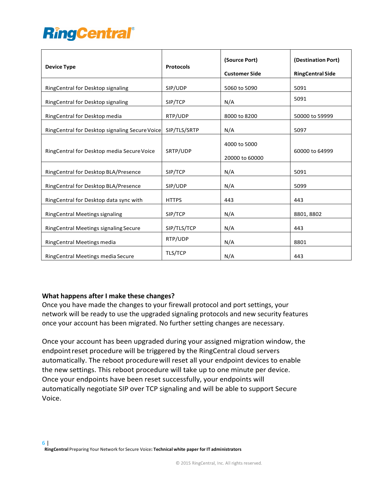| <b>Device Type</b>                             | <b>Protocols</b> | (Source Port)<br><b>Customer Side</b> | (Destination Port)<br><b>RingCentral Side</b> |
|------------------------------------------------|------------------|---------------------------------------|-----------------------------------------------|
| RingCentral for Desktop signaling              | SIP/UDP          | 5060 to 5090                          | 5091                                          |
| RingCentral for Desktop signaling              | SIP/TCP          | N/A                                   | 5091                                          |
| RingCentral for Desktop media                  | RTP/UDP          | 8000 to 8200                          | 50000 to 59999                                |
| RingCentral for Desktop signaling Secure Voice | SIP/TLS/SRTP     | N/A                                   | 5097                                          |
| RingCentral for Desktop media Secure Voice     | SRTP/UDP         | 4000 to 5000<br>20000 to 60000        | 60000 to 64999                                |
| RingCentral for Desktop BLA/Presence           | SIP/TCP          | N/A                                   | 5091                                          |
| RingCentral for Desktop BLA/Presence           | SIP/UDP          | N/A                                   | 5099                                          |
| RingCentral for Desktop data sync with         | <b>HTTPS</b>     | 443                                   | 443                                           |
| <b>RingCentral Meetings signaling</b>          | SIP/TCP          | N/A                                   | 8801, 8802                                    |
| RingCentral Meetings signaling Secure          | SIP/TLS/TCP      | N/A                                   | 443                                           |
| RingCentral Meetings media                     | RTP/UDP          | N/A                                   | 8801                                          |
| RingCentral Meetings media Secure              | TLS/TCP          | N/A                                   | 443                                           |

#### **What happens after I make these changes?**

Once you have made the changes to your firewall protocol and port settings, your network will be ready to use the upgraded signaling protocols and new security features once your account has been migrated. No further setting changes are necessary.

Once your account has been upgraded during your assigned migration window, the endpoint reset procedure will be triggered by the RingCentral cloud servers automatically. The reboot procedure will reset all your endpoint devices to enable the new settings. This reboot procedure will take up to one minute per device. Once your endpoints have been reset successfully, your endpoints will automatically negotiate SIP over TCP signaling and will be able to support Secure Voice.